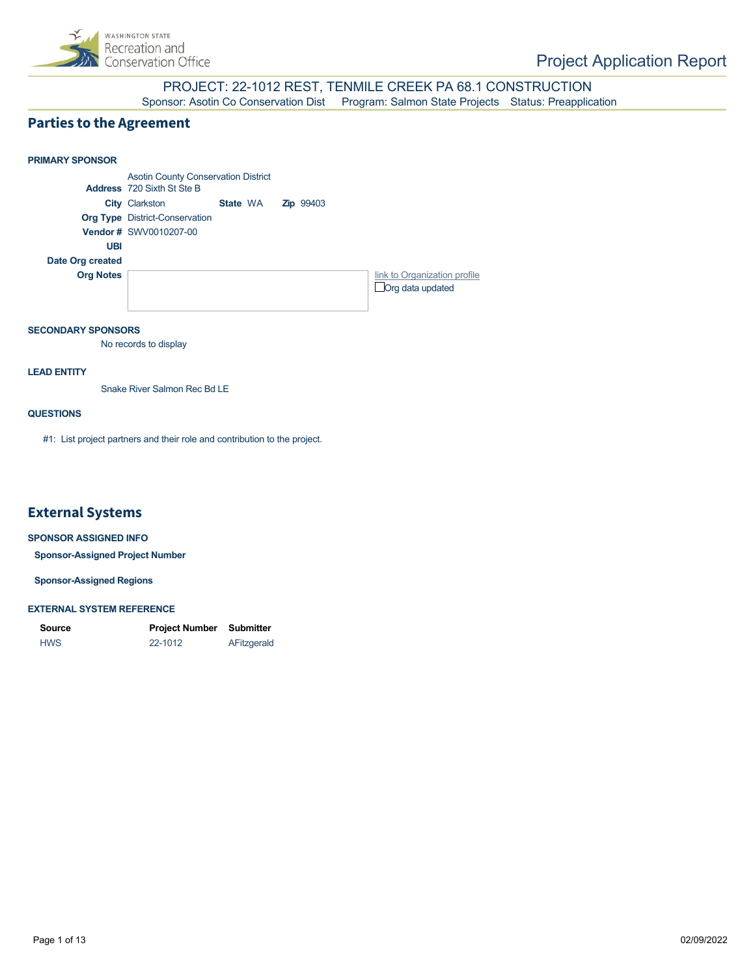

### PROJECT: 22-1012 REST, TENMILE CREEK PA 68.1 CONSTRUCTION Sponsor: Asotin Co Conservation Dist Program: Salmon State Projects Status: Preapplication

### **Parties to the Agreement**



#### **SECONDARY SPONSORS**

No records to display

#### **LEAD ENTITY**

Snake River Salmon Rec Bd LE

### **QUESTIONS**

#1: List project partners and their role and contribution to the project.

### **External Systems**

#### **SPONSOR ASSIGNED INFO**

**Sponsor-Assigned Project Number**

**Sponsor-Assigned Regions**

#### **EXTERNAL SYSTEM REFERENCE**

| <b>Source</b> | Project Number | Submitter   |
|---------------|----------------|-------------|
| <b>HWS</b>    | 22-1012        | AFitzgerald |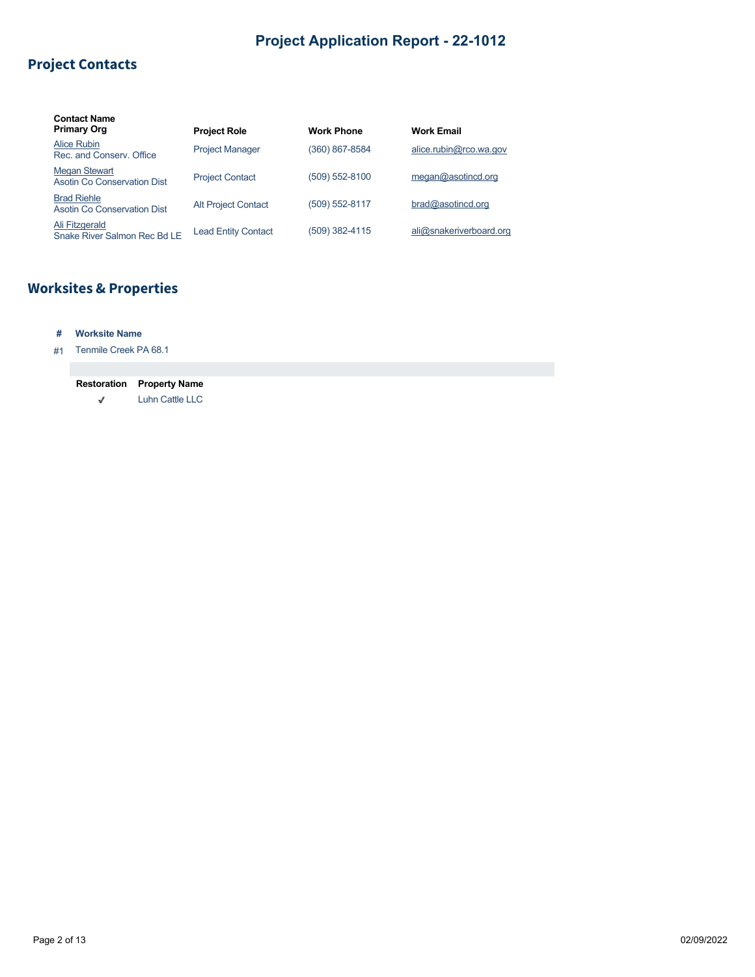# **Project Contacts**

| <b>Contact Name</b><br><b>Primary Org</b>           | <b>Project Role</b>        | <b>Work Phone</b> | <b>Work Email</b>       |
|-----------------------------------------------------|----------------------------|-------------------|-------------------------|
| Alice Rubin<br>Rec. and Conserv. Office             | <b>Project Manager</b>     | (360) 867-8584    | alice.rubin@rco.wa.gov  |
| <b>Megan Stewart</b><br>Asotin Co Conservation Dist | <b>Project Contact</b>     | (509) 552-8100    | meqan@asotincd.org      |
| <b>Brad Riehle</b><br>Asotin Co Conservation Dist   | <b>Alt Project Contact</b> | (509) 552-8117    | bra@asotincd.org        |
| Ali Fitzgerald<br>Snake River Salmon Rec Bd LE      | <b>Lead Entity Contact</b> | (509) 382-4115    | ali@snakeriverboard.org |

# **Worksites & Properties**

### **# Worksite Name**

### #1 Tenmile Creek PA 68.1

| <b>Restoration</b> | <b>Property Name</b> |
|--------------------|----------------------|
| J                  | Luhn Cattle LLC      |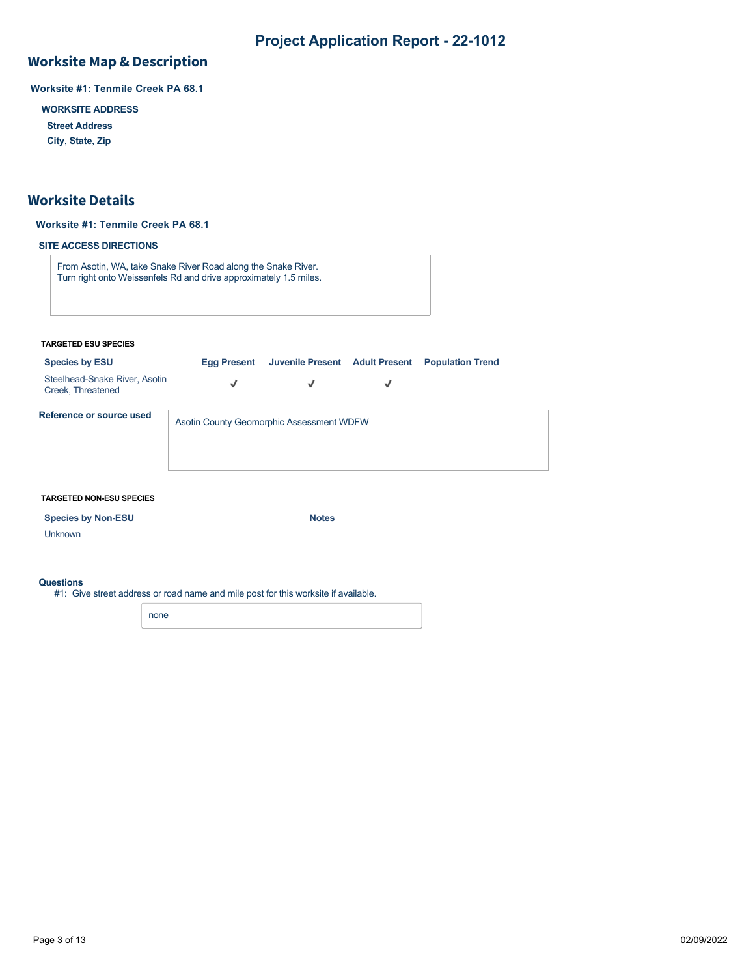## **Worksite Map & Description**

**Worksite #1: Tenmile Creek PA 68.1**

**WORKSITE ADDRESS**

**Street Address**

**City, State, Zip**

### **Worksite Details**

### **Worksite #1: Tenmile Creek PA 68.1**

### **SITE ACCESS DIRECTIONS**

From Asotin, WA, take Snake River Road along the Snake River. Turn right onto Weissenfels Rd and drive approximately 1.5 miles.

#### **TARGETED ESU SPECIES**

| <b>Species by ESU</b>                              | <b>Egg Present</b>                       | Juvenile Present Adult Present |   | <b>Population Trend</b> |  |
|----------------------------------------------------|------------------------------------------|--------------------------------|---|-------------------------|--|
| Steelhead-Snake River, Asotin<br>Creek, Threatened | J                                        | √                              | √ |                         |  |
| Reference or source used                           | Asotin County Geomorphic Assessment WDFW |                                |   |                         |  |
|                                                    |                                          |                                |   |                         |  |

#### **TARGETED NON-ESU SPECIES**

| <b>Species by Non-ESU</b> | <b>Notes</b> |
|---------------------------|--------------|
|                           |              |

Unknown

#### **Questions**

#1: Give street address or road name and mile post for this worksite if available.

none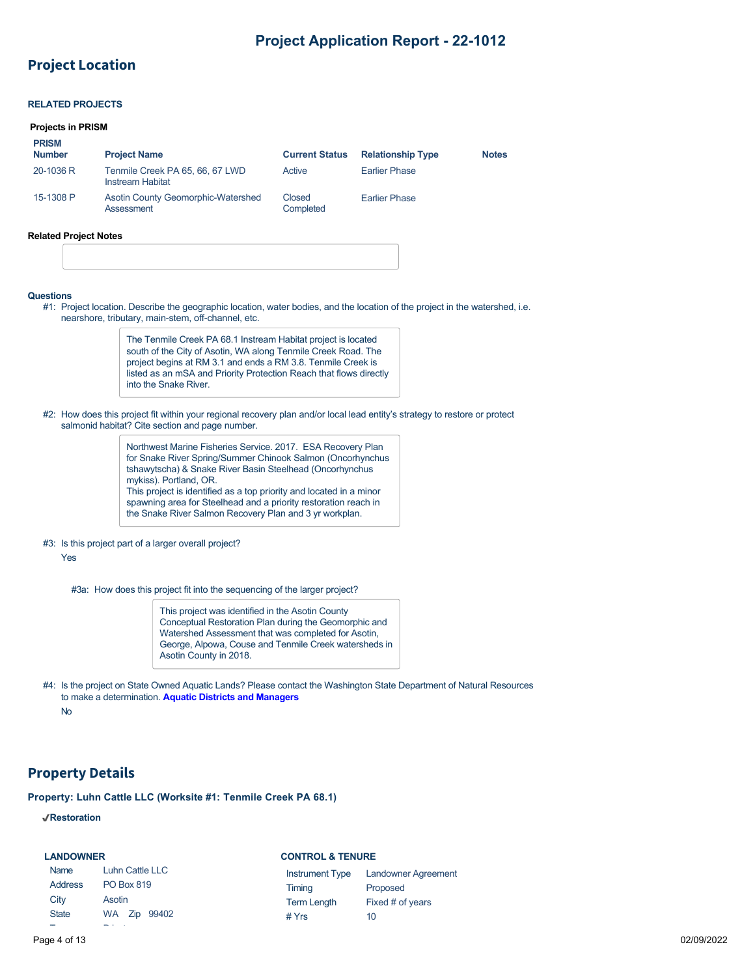### **Project Location**

### **RELATED PROJECTS**

#### **Projects in PRISM**

**PRISM**

| <b>FNOM</b><br><b>Number</b> | <b>Project Name</b>                                 | <b>Current Status</b> | <b>Relationship Type</b> | <b>Notes</b> |
|------------------------------|-----------------------------------------------------|-----------------------|--------------------------|--------------|
| 20-1036 R                    | Tenmile Creek PA 65, 66, 67 LWD<br>Instream Habitat | Active                | <b>Earlier Phase</b>     |              |
| 15-1308 P                    | Asotin County Geomorphic-Watershed<br>Assessment    | Closed<br>Completed   | <b>Earlier Phase</b>     |              |

#### **Related Project Notes**

#### **Questions**

#1: Project location. Describe the geographic location, water bodies, and the location of the project in the watershed, i.e. nearshore, tributary, main-stem, off-channel, etc.

> The Tenmile Creek PA 68.1 Instream Habitat project is located south of the City of Asotin, WA along Tenmile Creek Road. The project begins at RM 3.1 and ends a RM 3.8. Tenmile Creek is listed as an mSA and Priority Protection Reach that flows directly into the Snake River.

#2: How does this project fit within your regional recovery plan and/or local lead entity's strategy to restore or protect salmonid habitat? Cite section and page number.

> Northwest Marine Fisheries Service. 2017. ESA Recovery Plan for Snake River Spring/Summer Chinook Salmon (Oncorhynchus tshawytscha) & Snake River Basin Steelhead (Oncorhynchus mykiss). Portland, OR. This project is identified as a top priority and located in a minor spawning area for Steelhead and a priority restoration reach in the Snake River Salmon Recovery Plan and 3 yr workplan.

#### #3: Is this project part of a larger overall project?

Yes

#3a: How does this project fit into the sequencing of the larger project?

This project was identified in the Asotin County Conceptual Restoration Plan during the Geomorphic and Watershed Assessment that was completed for Asotin, George, Alpowa, Couse and Tenmile Creek watersheds in Asotin County in 2018.

#4: Is the project on State Owned Aquatic Lands? Please contact the Washington State Department of Natural Resources to make a determination. **[Aquatic Districts and Managers](https://www.dnr.wa.gov/programs-and-services/aquatics/aquatic-districts-and-land-managers-map)** No

## **Property Details**

**Property: Luhn Cattle LLC (Worksite #1: Tenmile Creek PA 68.1)**

### **Restoration**

### **LANDOWNER**

| Name         | Luhn Cattle LLC   |  |              |
|--------------|-------------------|--|--------------|
| Address      | <b>PO Box 819</b> |  |              |
| City         | Asotin            |  |              |
| <b>State</b> |                   |  | WA Zip 99402 |

Private

### **CONTROL & TENURE**

| <b>Instrument Type</b> | <b>Landowner Agreement</b> |
|------------------------|----------------------------|
| Timing                 | Proposed                   |
| <b>Term Length</b>     | Fixed # of years           |
| # Yrs                  | 10                         |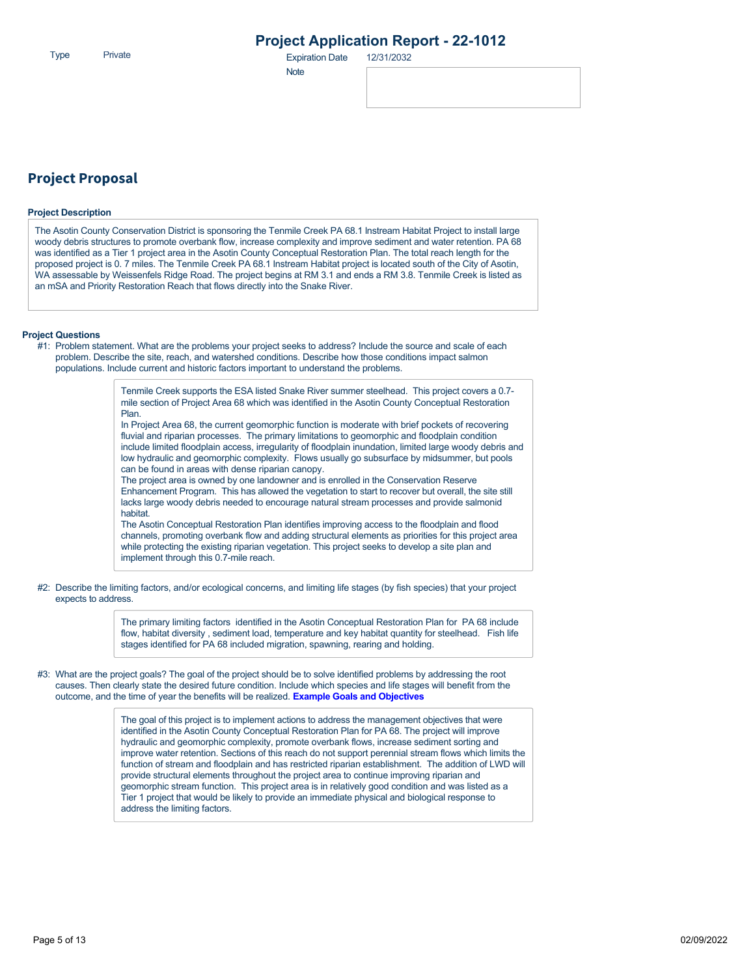Type Expiration Date Private 12/31/2032

**Note** 

### **Project Proposal**

#### **Project Description**

The Asotin County Conservation District is sponsoring the Tenmile Creek PA 68.1 lnstream Habitat Project to install large woody debris structures to promote overbank flow, increase complexity and improve sediment and water retention. PA 68 was identified as a Tier 1 project area in the Asotin County Conceptual Restoration Plan. The total reach length for the proposed project is 0. 7 miles. The Tenmile Creek PA 68.1 lnstream Habitat project is located south of the City of Asotin, WA assessable by Weissenfels Ridge Road. The project begins at RM 3.1 and ends a RM 3.8. Tenmile Creek is listed as an mSA and Priority Restoration Reach that flows directly into the Snake River.

#### **Project Questions**

#1: Problem statement. What are the problems your project seeks to address? Include the source and scale of each problem. Describe the site, reach, and watershed conditions. Describe how those conditions impact salmon populations. Include current and historic factors important to understand the problems.

> Tenmile Creek supports the ESA listed Snake River summer steelhead. This project covers a 0.7 mile section of Project Area 68 which was identified in the Asotin County Conceptual Restoration Plan.

In Project Area 68, the current geomorphic function is moderate with brief pockets of recovering fluvial and riparian processes. The primary limitations to geomorphic and floodplain condition include limited floodplain access, irregularity of floodplain inundation, limited large woody debris and low hydraulic and geomorphic complexity. Flows usually go subsurface by midsummer, but pools can be found in areas with dense riparian canopy.

The project area is owned by one landowner and is enrolled in the Conservation Reserve Enhancement Program. This has allowed the vegetation to start to recover but overall, the site still lacks large woody debris needed to encourage natural stream processes and provide salmonid habitat.

The Asotin Conceptual Restoration Plan identifies improving access to the floodplain and flood channels, promoting overbank flow and adding structural elements as priorities for this project area while protecting the existing riparian vegetation. This project seeks to develop a site plan and implement through this 0.7-mile reach.

#2: Describe the limiting factors, and/or ecological concerns, and limiting life stages (by fish species) that your project expects to address.

> The primary limiting factors identified in the Asotin Conceptual Restoration Plan for PA 68 include flow, habitat diversity , sediment load, temperature and key habitat quantity for steelhead. Fish life stages identified for PA 68 included migration, spawning, rearing and holding.

#3: What are the project goals? The goal of the project should be to solve identified problems by addressing the root causes. Then clearly state the desired future condition. Include which species and life stages will benefit from the outcome, and the time of year the benefits will be realized. **[Example Goals and Objectives](https://rco.wa.gov/wp-content/uploads/2020/02/SRFB-Goals-and-Objectives-Examples.docx)**

> The goal of this project is to implement actions to address the management objectives that were identified in the Asotin County Conceptual Restoration Plan for PA 68. The project will improve hydraulic and geomorphic complexity, promote overbank flows, increase sediment sorting and improve water retention. Sections of this reach do not support perennial stream flows which limits the function of stream and floodplain and has restricted riparian establishment. The addition of LWD will provide structural elements throughout the project area to continue improving riparian and geomorphic stream function. This project area is in relatively good condition and was listed as a Tier 1 project that would be likely to provide an immediate physical and biological response to address the limiting factors.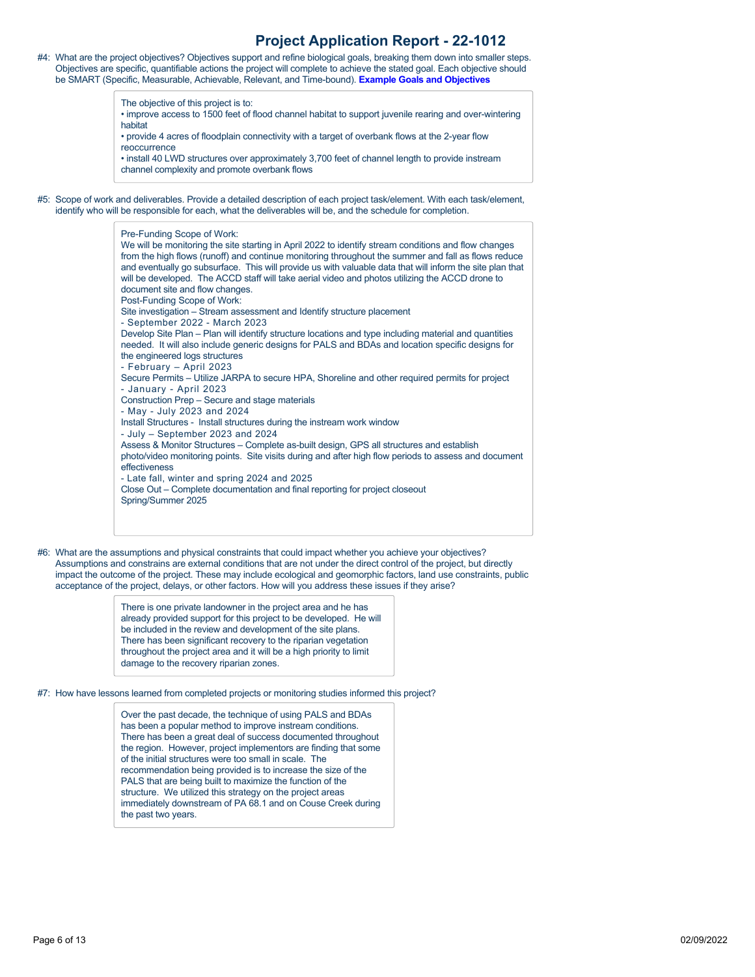| #4: What are the project objectives? Objectives support and refine biological goals, breaking them down into smaller steps. |
|-----------------------------------------------------------------------------------------------------------------------------|
| Objectives are specific, quantifiable actions the project will complete to achieve the stated goal. Each objective should   |
| be SMART (Specific, Measurable, Achievable, Relevant, and Time-bound). Example Goals and Objectives                         |

The objective of this project is to:

- improve access to 1500 feet of flood channel habitat to support juvenile rearing and over-wintering habitat
- provide 4 acres of floodplain connectivity with a target of overbank flows at the 2-year flow reoccurrence
- install 40 LWD structures over approximately 3,700 feet of channel length to provide instream channel complexity and promote overbank flows
- #5: Scope of work and deliverables. Provide a detailed description of each project task/element. With each task/element, identify who will be responsible for each, what the deliverables will be, and the schedule for completion.



#6: What are the assumptions and physical constraints that could impact whether you achieve your objectives? Assumptions and constrains are external conditions that are not under the direct control of the project, but directly impact the outcome of the project. These may include ecological and geomorphic factors, land use constraints, public acceptance of the project, delays, or other factors. How will you address these issues if they arise?

> There is one private landowner in the project area and he has already provided support for this project to be developed. He will be included in the review and development of the site plans. There has been significant recovery to the riparian vegetation throughout the project area and it will be a high priority to limit damage to the recovery riparian zones.

#7: How have lessons learned from completed projects or monitoring studies informed this project?

Over the past decade, the technique of using PALS and BDAs has been a popular method to improve instream conditions. There has been a great deal of success documented throughout the region. However, project implementors are finding that some of the initial structures were too small in scale. The recommendation being provided is to increase the size of the PALS that are being built to maximize the function of the structure. We utilized this strategy on the project areas immediately downstream of PA 68.1 and on Couse Creek during the past two years.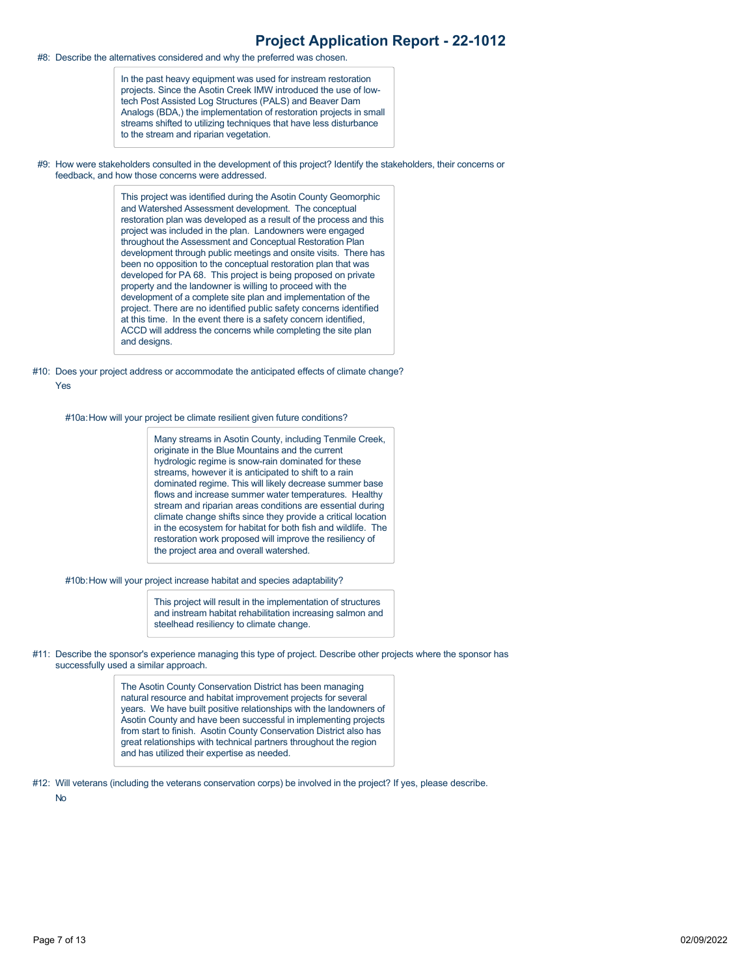#8: Describe the alternatives considered and why the preferred was chosen.

In the past heavy equipment was used for instream restoration projects. Since the Asotin Creek IMW introduced the use of lowtech Post Assisted Log Structures (PALS) and Beaver Dam Analogs (BDA,) the implementation of restoration projects in small streams shifted to utilizing techniques that have less disturbance to the stream and riparian vegetation.

#9: How were stakeholders consulted in the development of this project? Identify the stakeholders, their concerns or feedback, and how those concerns were addressed.

> This project was identified during the Asotin County Geomorphic and Watershed Assessment development. The conceptual restoration plan was developed as a result of the process and this project was included in the plan. Landowners were engaged throughout the Assessment and Conceptual Restoration Plan development through public meetings and onsite visits. There has been no opposition to the conceptual restoration plan that was developed for PA 68. This project is being proposed on private property and the landowner is willing to proceed with the development of a complete site plan and implementation of the project. There are no identified public safety concerns identified at this time. In the event there is a safety concern identified, ACCD will address the concerns while completing the site plan and designs.

#10: Does your project address or accommodate the anticipated effects of climate change? Yes

#10a: How will your project be climate resilient given future conditions?

Many streams in Asotin County, including Tenmile Creek, originate in the Blue Mountains and the current hydrologic regime is snow-rain dominated for these streams, however it is anticipated to shift to a rain dominated regime. This will likely decrease summer base flows and increase summer water temperatures. Healthy stream and riparian areas conditions are essential during climate change shifts since they provide a critical location in the ecosystem for habitat for both fish and wildlife. The restoration work proposed will improve the resiliency of the project area and overall watershed.

#10b:How will your project increase habitat and species adaptability?

This project will result in the implementation of structures and instream habitat rehabilitation increasing salmon and steelhead resiliency to climate change.

#11: Describe the sponsor's experience managing this type of project. Describe other projects where the sponsor has successfully used a similar approach.

> The Asotin County Conservation District has been managing natural resource and habitat improvement projects for several years. We have built positive relationships with the landowners of Asotin County and have been successful in implementing projects from start to finish. Asotin County Conservation District also has great relationships with technical partners throughout the region and has utilized their expertise as needed.

#12: Will veterans (including the veterans conservation corps) be involved in the project? If yes, please describe.

No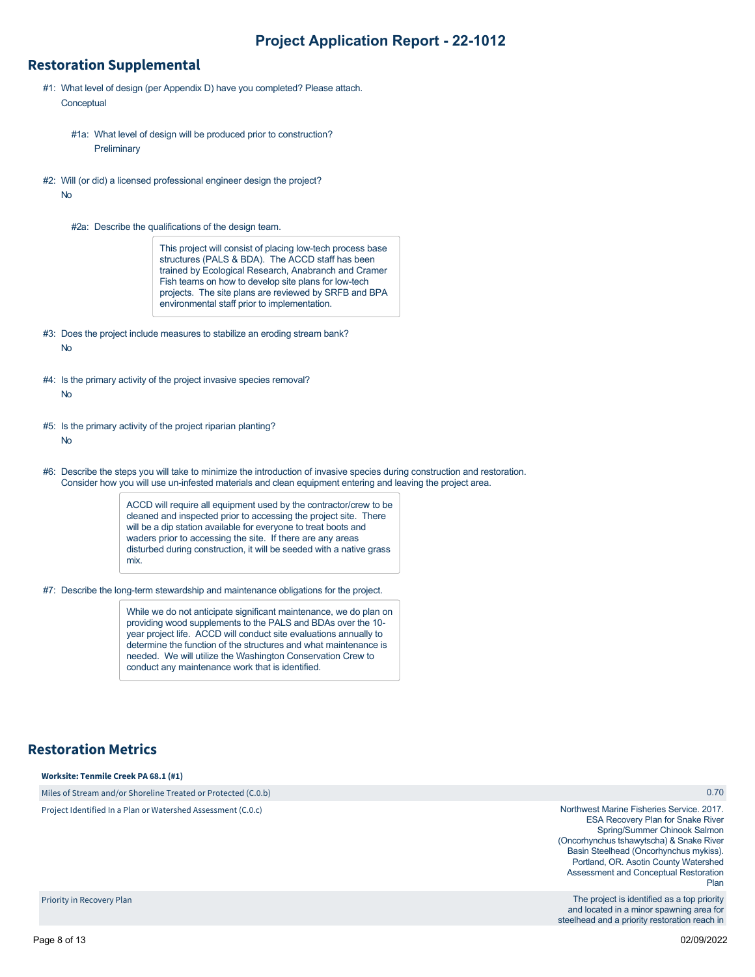### **Restoration Supplemental**

- #1: What level of design (per Appendix D) have you completed? Please attach. **Conceptual** 
	- #1a: What level of design will be produced prior to construction? **Preliminary**
- #2: Will (or did) a licensed professional engineer design the project? No
	- #2a: Describe the qualifications of the design team.

This project will consist of placing low-tech process base structures (PALS & BDA). The ACCD staff has been trained by Ecological Research, Anabranch and Cramer Fish teams on how to develop site plans for low-tech projects. The site plans are reviewed by SRFB and BPA environmental staff prior to implementation.

- #3: Does the project include measures to stabilize an eroding stream bank? No
- #4: Is the primary activity of the project invasive species removal?
	- No
- #5: Is the primary activity of the project riparian planting?

No

#6: Describe the steps you will take to minimize the introduction of invasive species during construction and restoration. Consider how you will use un-infested materials and clean equipment entering and leaving the project area.

> ACCD will require all equipment used by the contractor/crew to be cleaned and inspected prior to accessing the project site. There will be a dip station available for everyone to treat boots and waders prior to accessing the site. If there are any areas disturbed during construction, it will be seeded with a native grass mix.

#7: Describe the long-term stewardship and maintenance obligations for the project.

While we do not anticipate significant maintenance, we do plan on providing wood supplements to the PALS and BDAs over the 10 year project life. ACCD will conduct site evaluations annually to determine the function of the structures and what maintenance is needed. We will utilize the Washington Conservation Crew to conduct any maintenance work that is identified.

## **Restoration Metrics**

#### **Worksite: Tenmile Creek PA 68.1 (#1)**

Miles of Stream and/or Shoreline Treated or Protected (C.0.b)

Project Identified In a Plan or Watershed Assessment (C.0.c)

#### 0.70

Northwest Marine Fisheries Service. 2017. ESA Recovery Plan for Snake River Spring/Summer Chinook Salmon (Oncorhynchus tshawytscha) & Snake River Basin Steelhead (Oncorhynchus mykiss). Portland, OR. Asotin County Watershed Assessment and Conceptual Restoration Plan

The project is identified as a top priority and located in a minor spawning area for steelhead and a priority restoration reach in

Priority in Recovery Plan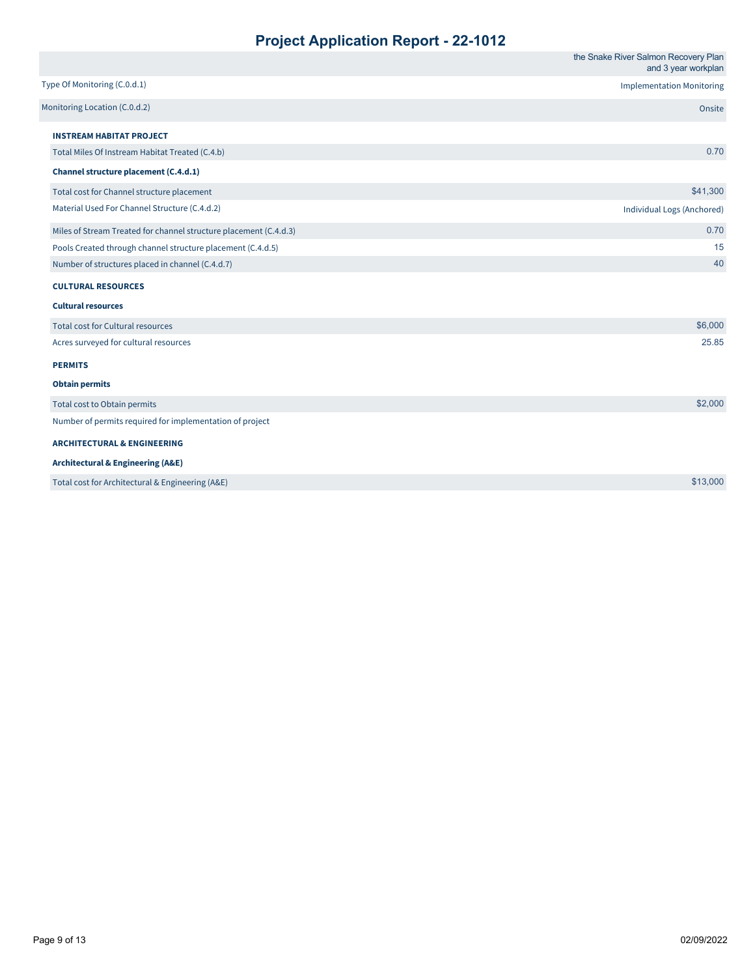|                                                                   | the Snake River Salmon Recovery Plan<br>and 3 year workplan |
|-------------------------------------------------------------------|-------------------------------------------------------------|
| Type Of Monitoring (C.0.d.1)                                      | <b>Implementation Monitoring</b>                            |
| Monitoring Location (C.0.d.2)                                     | Onsite                                                      |
| <b>INSTREAM HABITAT PROJECT</b>                                   |                                                             |
| Total Miles Of Instream Habitat Treated (C.4.b)                   | 0.70                                                        |
| Channel structure placement (C.4.d.1)                             |                                                             |
| Total cost for Channel structure placement                        | \$41,300                                                    |
| Material Used For Channel Structure (C.4.d.2)                     | Individual Logs (Anchored)                                  |
| Miles of Stream Treated for channel structure placement (C.4.d.3) | 0.70                                                        |
| Pools Created through channel structure placement (C.4.d.5)       | 15                                                          |
| Number of structures placed in channel (C.4.d.7)                  | 40                                                          |
| <b>CULTURAL RESOURCES</b>                                         |                                                             |
| <b>Cultural resources</b>                                         |                                                             |
| Total cost for Cultural resources                                 | \$6,000                                                     |
| Acres surveyed for cultural resources                             | 25.85                                                       |
| <b>PERMITS</b>                                                    |                                                             |
| <b>Obtain permits</b>                                             |                                                             |
| Total cost to Obtain permits                                      | \$2,000                                                     |
| Number of permits required for implementation of project          |                                                             |
| <b>ARCHITECTURAL &amp; ENGINEERING</b>                            |                                                             |
| <b>Architectural &amp; Engineering (A&amp;E)</b>                  |                                                             |
| Total cost for Architectural & Engineering (A&E)                  | \$13,000                                                    |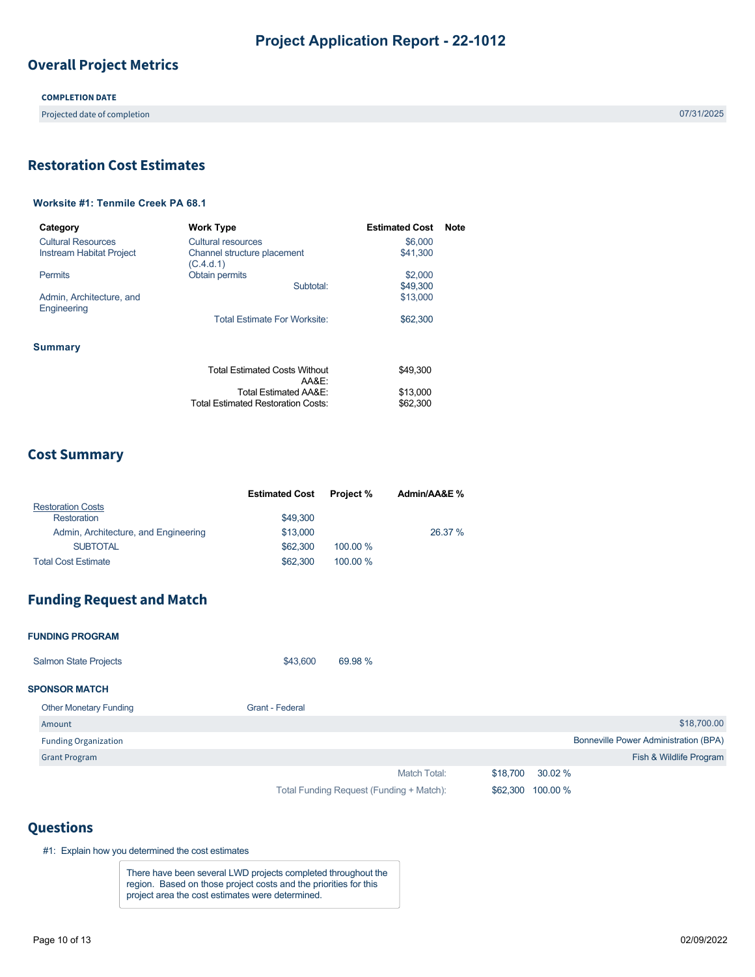## **Overall Project Metrics**

**COMPLETION DATE**

Projected date of completion 07/31/2025

## <span id="page-9-0"></span>**Restoration Cost Estimates**

### **Worksite #1: Tenmile Creek PA 68.1**

| Category                                | <b>Work Type</b>                                | <b>Estimated Cost</b> | <b>Note</b> |
|-----------------------------------------|-------------------------------------------------|-----------------------|-------------|
| <b>Cultural Resources</b>               | Cultural resources                              | \$6,000               |             |
| <b>Instream Habitat Project</b>         | Channel structure placement<br>(C.4.d.1)        | \$41,300              |             |
| <b>Permits</b>                          | Obtain permits                                  | \$2,000               |             |
|                                         | Subtotal:                                       | \$49,300              |             |
| Admin, Architecture, and<br>Engineering |                                                 | \$13,000              |             |
|                                         | Total Estimate For Worksite:                    | \$62,300              |             |
| Summary                                 |                                                 |                       |             |
|                                         | <b>Total Estimated Costs Without</b><br>A A R F | \$49.300              |             |
|                                         | Total Estimated AA&E:                           | \$13,000              |             |
|                                         | <b>Total Estimated Restoration Costs:</b>       | \$62,300              |             |

### **Cost Summary**

|                                      | <b>Estimated Cost</b> | <b>Project</b> % | Admin/AA&E % |
|--------------------------------------|-----------------------|------------------|--------------|
| <b>Restoration Costs</b>             |                       |                  |              |
| Restoration                          | \$49,300              |                  |              |
| Admin, Architecture, and Engineering | \$13,000              |                  | 26.37 %      |
| <b>SUBTOTAL</b>                      | \$62,300              | 100.00 %         |              |
| <b>Total Cost Estimate</b>           | \$62,300              | 100.00 %         |              |

## **Funding Request and Match**

| <b>FUNDING PROGRAM</b>        |                                          |                                              |
|-------------------------------|------------------------------------------|----------------------------------------------|
| <b>Salmon State Projects</b>  | 69.98 %<br>\$43,600                      |                                              |
| <b>SPONSOR MATCH</b>          |                                          |                                              |
| <b>Other Monetary Funding</b> | Grant - Federal                          |                                              |
| Amount                        |                                          | \$18,700.00                                  |
| <b>Funding Organization</b>   |                                          | <b>Bonneville Power Administration (BPA)</b> |
| <b>Grant Program</b>          |                                          | Fish & Wildlife Program                      |
|                               | Match Total:                             | \$18,700<br>30.02 %                          |
|                               | Total Funding Request (Funding + Match): | 100.00 %<br>\$62,300                         |

### **Questions**

#1: Explain how you determined the cost estimates

There have been several LWD projects completed throughout the region. Based on those project costs and the priorities for this project area the cost estimates were determined.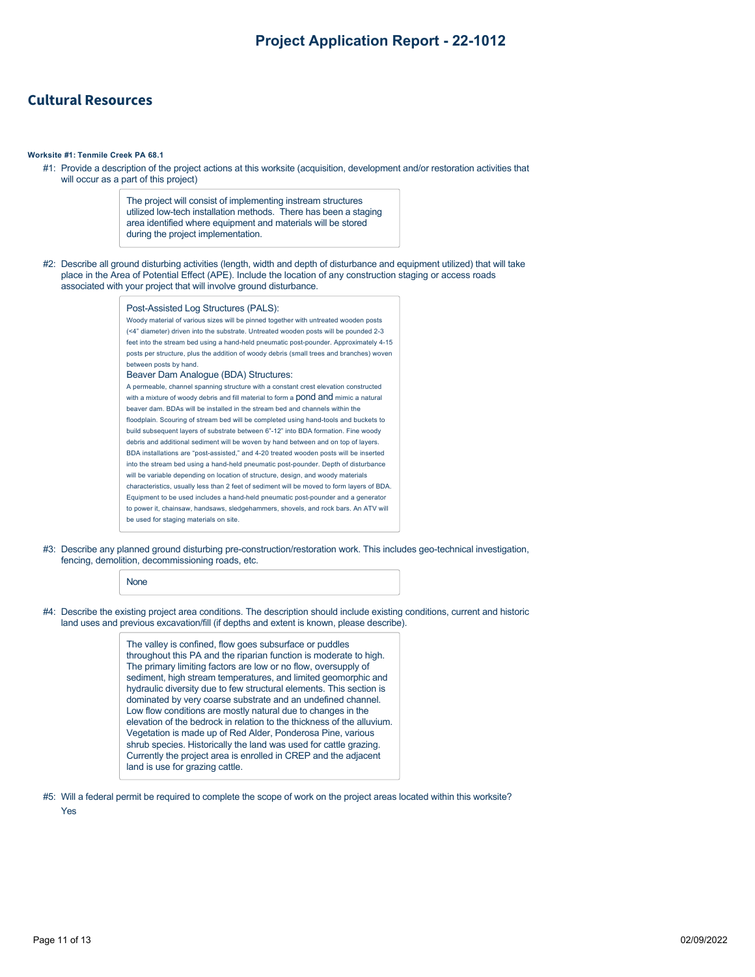### **Cultural Resources**

#### **Worksite #1: Tenmile Creek PA 68.1**

#1: Provide a description of the project actions at this worksite (acquisition, development and/or restoration activities that will occur as a part of this project)

> The project will consist of implementing instream structures utilized low-tech installation methods. There has been a staging area identified where equipment and materials will be stored during the project implementation.

#2: Describe all ground disturbing activities (length, width and depth of disturbance and equipment utilized) that will take place in the Area of Potential Effect (APE). Include the location of any construction staging or access roads associated with your project that will involve ground disturbance.

#### Post-Assisted Log Structures (PALS):

Woody material of various sizes will be pinned together with untreated wooden posts (<4" diameter) driven into the substrate. Untreated wooden posts will be pounded 2-3 feet into the stream bed using a hand-held pneumatic post-pounder. Approximately 4-15 posts per structure, plus the addition of woody debris (small trees and branches) woven between posts by hand. Beaver Dam Analogue (BDA) Structures: A permeable, channel spanning structure with a constant crest elevation constructed with a mixture of woody debris and fill material to form a pond and mimic a natural beaver dam. BDAs will be installed in the stream bed and channels within the floodplain. Scouring of stream bed will be completed using hand-tools and buckets to build subsequent layers of substrate between 6"-12" into BDA formation. Fine woody debris and additional sediment will be woven by hand between and on top of layers. BDA installations are "post-assisted," and 4-20 treated wooden posts will be inserted into the stream bed using a hand-held pneumatic post-pounder. Depth of disturbance will be variable depending on location of structure, design, and woody materials characteristics, usually less than 2 feet of sediment will be moved to form layers of BDA. Equipment to be used includes a hand-held pneumatic post-pounder and a generator to power it, chainsaw, handsaws, sledgehammers, shovels, and rock bars. An ATV will be used for staging materials on site.

#3: Describe any planned ground disturbing pre-construction/restoration work. This includes geo-technical investigation, fencing, demolition, decommissioning roads, etc.

#### **None**

#4: Describe the existing project area conditions. The description should include existing conditions, current and historic land uses and previous excavation/fill (if depths and extent is known, please describe).

> The valley is confined, flow goes subsurface or puddles throughout this PA and the riparian function is moderate to high. The primary limiting factors are low or no flow, oversupply of sediment, high stream temperatures, and limited geomorphic and hydraulic diversity due to few structural elements. This section is dominated by very coarse substrate and an undefined channel. Low flow conditions are mostly natural due to changes in the elevation of the bedrock in relation to the thickness of the alluvium. Vegetation is made up of Red Alder, Ponderosa Pine, various shrub species. Historically the land was used for cattle grazing. Currently the project area is enrolled in CREP and the adjacent land is use for grazing cattle.

#5: Will a federal permit be required to complete the scope of work on the project areas located within this worksite?

Yes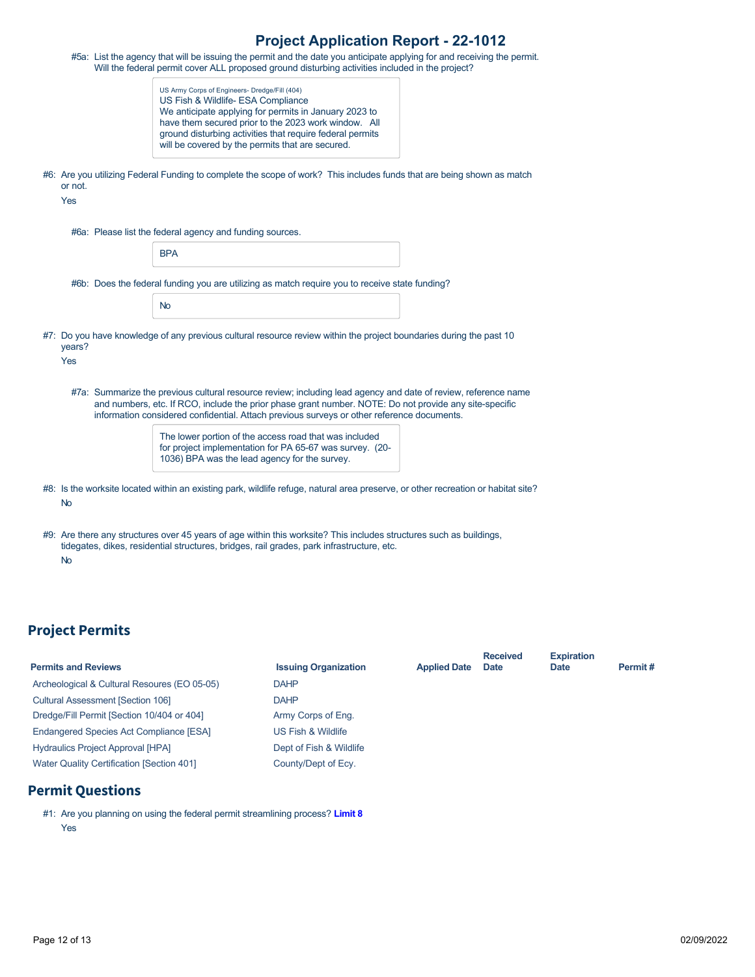|                | #5a: List the agency that will be issuing the permit and the date you anticipate applying for and receiving the permit.<br>Will the federal permit cover ALL proposed ground disturbing activities included in the project?                                                                                            |
|----------------|------------------------------------------------------------------------------------------------------------------------------------------------------------------------------------------------------------------------------------------------------------------------------------------------------------------------|
|                | US Army Corps of Engineers- Dredge/Fill (404)<br>US Fish & Wildlife- ESA Compliance<br>We anticipate applying for permits in January 2023 to<br>have them secured prior to the 2023 work window. All<br>ground disturbing activities that require federal permits<br>will be covered by the permits that are secured.  |
| or not.<br>Yes | #6: Are you utilizing Federal Funding to complete the scope of work? This includes funds that are being shown as match                                                                                                                                                                                                 |
|                | #6a: Please list the federal agency and funding sources.                                                                                                                                                                                                                                                               |
|                | <b>BPA</b>                                                                                                                                                                                                                                                                                                             |
|                | #6b: Does the federal funding you are utilizing as match require you to receive state funding?                                                                                                                                                                                                                         |
|                | <b>No</b>                                                                                                                                                                                                                                                                                                              |
| years?<br>Yes  | #7: Do you have knowledge of any previous cultural resource review within the project boundaries during the past 10                                                                                                                                                                                                    |
|                | #7a: Summarize the previous cultural resource review; including lead agency and date of review, reference name<br>and numbers, etc. If RCO, include the prior phase grant number. NOTE: Do not provide any site-specific<br>information considered confidential. Attach previous surveys or other reference documents. |
|                | The lower portion of the access road that was included<br>for project implementation for PA 65-67 was survey. (20-<br>1036) BPA was the lead agency for the survey.                                                                                                                                                    |
| <b>No</b>      | #8: Is the worksite located within an existing park, wildlife refuge, natural area preserve, or other recreation or habitat site?                                                                                                                                                                                      |
|                | #9: Are there any structures over 45 years of age within this worksite? This includes structures such as buildings,<br>tidegates, dikes, residential structures, bridges, rail grades, park infrastructure, etc.                                                                                                       |

No

# **Project Permits**

| <b>Permits and Reviews</b>                       | <b>Issuing Organization</b>   | <b>Applied Date</b> | <b>Received</b><br><b>Date</b> | <b>Expiration</b><br><b>Date</b> | Permit# |
|--------------------------------------------------|-------------------------------|---------------------|--------------------------------|----------------------------------|---------|
| Archeological & Cultural Resoures (EO 05-05)     | <b>DAHP</b>                   |                     |                                |                                  |         |
| <b>Cultural Assessment [Section 106]</b>         | <b>DAHP</b>                   |                     |                                |                                  |         |
| Dredge/Fill Permit [Section 10/404 or 404]       | Army Corps of Eng.            |                     |                                |                                  |         |
| Endangered Species Act Compliance [ESA]          | <b>US Fish &amp; Wildlife</b> |                     |                                |                                  |         |
| Hydraulics Project Approval [HPA]                | Dept of Fish & Wildlife       |                     |                                |                                  |         |
| <b>Water Quality Certification [Section 401]</b> | County/Dept of Ecy.           |                     |                                |                                  |         |

## **Permit Questions**

#1: Are you planning on using the federal permit streamlining process? **[Limit 8](https://rco.wa.gov/wp-content/uploads/2019/10/SAL-PermitStreamFactSheet.pdf)** Yes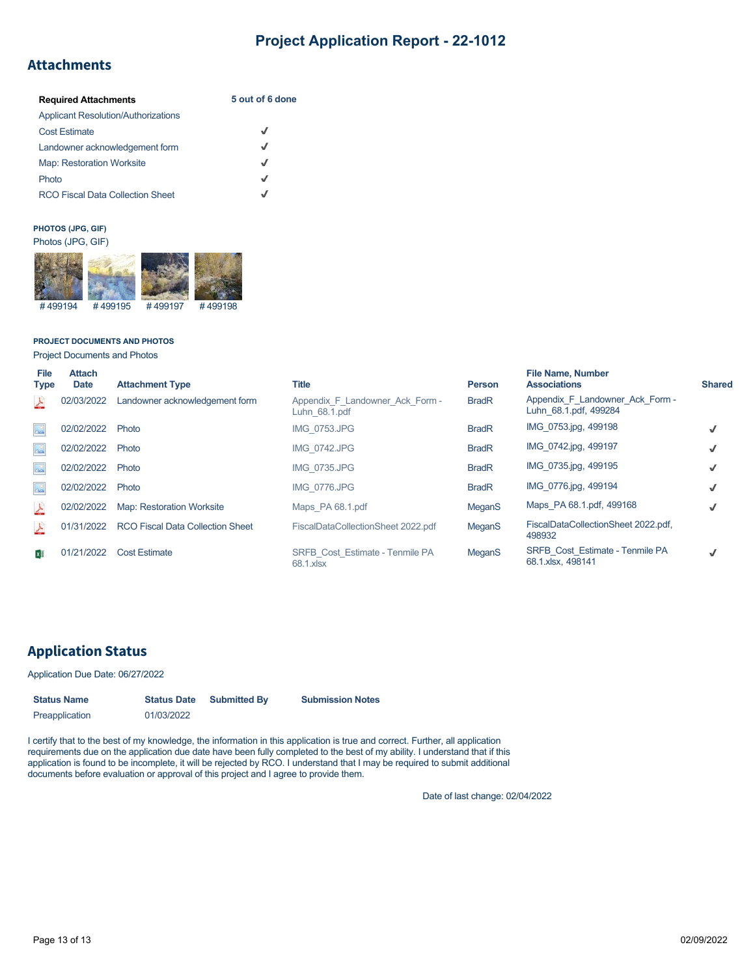### **Attachments**

| <b>Required Attachments</b>                | 5 out of 6 done |
|--------------------------------------------|-----------------|
| <b>Applicant Resolution/Authorizations</b> |                 |
| <b>Cost Estimate</b>                       | J               |
| Landowner acknowledgement form             | J               |
| <b>Map: Restoration Worksite</b>           | J               |
| Photo                                      | √               |
| <b>RCO Fiscal Data Collection Sheet</b>    |                 |

#### **PHOTOS (JPG, GIF)** Photos (JPG, GIF)



#### **PROJECT DOCUMENTS AND PHOTOS**

Project Documents and Photos

| <b>File</b><br><b>Type</b>     | <b>Attach</b><br><b>Date</b> | <b>Attachment Type</b>                  | Title                                            | <b>Person</b> | <b>File Name, Number</b><br><b>Associations</b>          | <b>Shared</b> |
|--------------------------------|------------------------------|-----------------------------------------|--------------------------------------------------|---------------|----------------------------------------------------------|---------------|
| 스                              | 02/03/2022                   | Landowner acknowledgement form          | Appendix F Landowner Ack Form -<br>Luhn 68.1.pdf | <b>BradR</b>  | Appendix F Landowner Ack Form -<br>Luhn 68.1.pdf, 499284 |               |
| $\frac{1}{2}$                  | 02/02/2022                   | Photo                                   | <b>IMG 0753.JPG</b>                              | <b>BradR</b>  | IMG 0753.jpg, 499198                                     |               |
| $\frac{1}{2}$                  | 02/02/2022                   | Photo                                   | <b>IMG 0742.JPG</b>                              | <b>BradR</b>  | IMG 0742.jpg, 499197                                     |               |
| $\Delta \frac{\sigma}{\Delta}$ | 02/02/2022                   | Photo                                   | <b>IMG 0735.JPG</b>                              | <b>BradR</b>  | IMG 0735.jpg, 499195                                     |               |
| $\Delta^0$                     | 02/02/2022                   | Photo                                   | <b>IMG 0776.JPG</b>                              | <b>BradR</b>  | IMG 0776.jpg, 499194                                     |               |
| <b>A</b>                       | 02/02/2022                   | <b>Map: Restoration Worksite</b>        | Maps PA 68.1.pdf                                 | MeganS        | Maps PA 68.1.pdf, 499168                                 |               |
| 스                              | 01/31/2022                   | <b>RCO Fiscal Data Collection Sheet</b> | FiscalDataCollectionSheet 2022.pdf               | <b>MeganS</b> | FiscalDataCollectionSheet 2022.pdf,<br>498932            |               |
| $x \equiv$                     | 01/21/2022                   | <b>Cost Estimate</b>                    | SRFB Cost Estimate - Tenmile PA<br>68.1.xlsx     | MeganS        | SRFB Cost Estimate - Tenmile PA<br>68.1.xlsx, 498141     |               |

## **Application Status**

### Application Due Date: 06/27/2022

| <b>Status Name</b> | <b>Status Date</b> | <b>Submitted By</b> | <b>Submission Notes</b> |  |  |
|--------------------|--------------------|---------------------|-------------------------|--|--|
| Preapplication     | 01/03/2022         |                     |                         |  |  |

I certify that to the best of my knowledge, the information in this application is true and correct. Further, all application requirements due on the application due date have been fully completed to the best of my ability. I understand that if this application is found to be incomplete, it will be rejected by RCO. I understand that I may be required to submit additional documents before evaluation or approval of this project and I agree to provide them.

Date of last change: 02/04/2022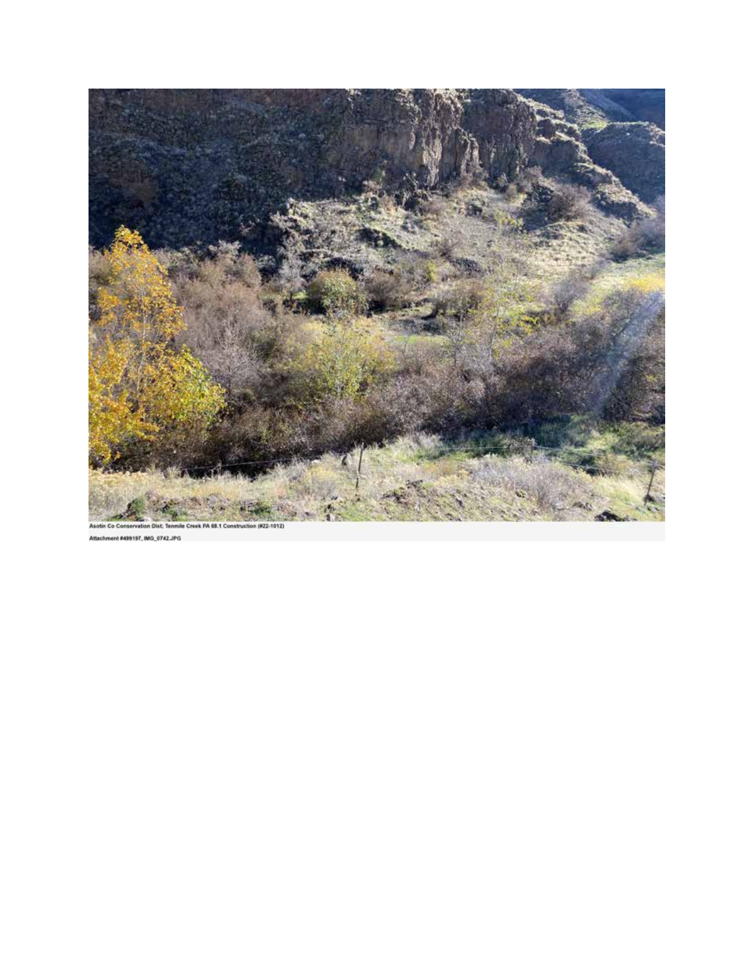

hment #499197, IMG\_0742.JPG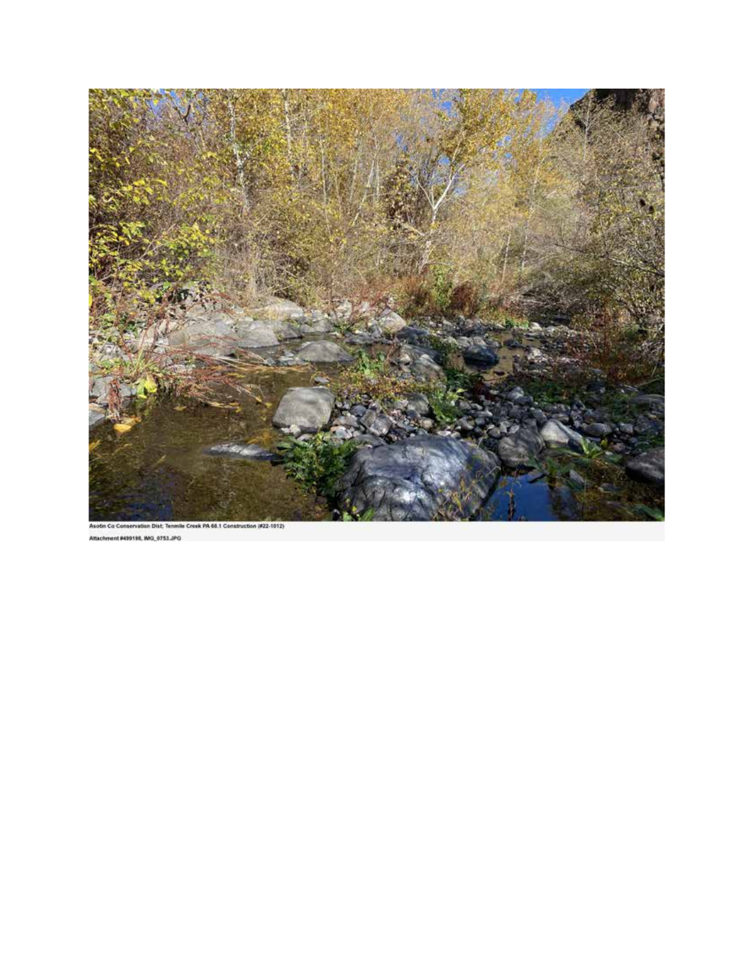

Attachment #499198, IMG\_0753.JPG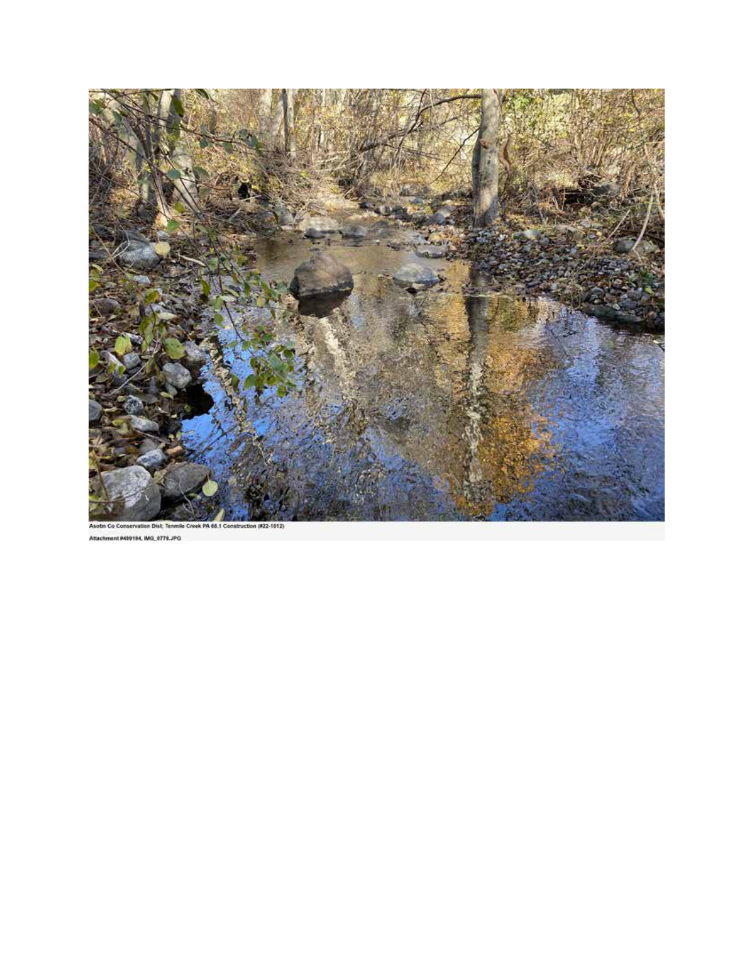

Asotin Co C in Dist mile Creek PA 68.1 Construction (#22-1012) Attachment #499194, MG\_0776.JPG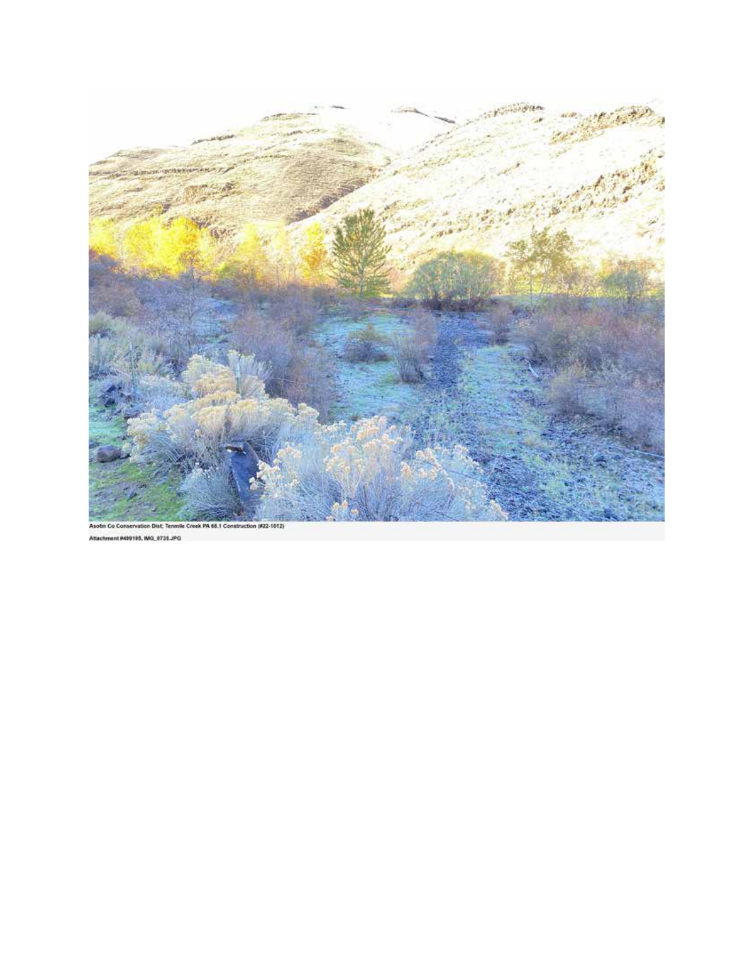

hment #499195, MG, 0735.JPG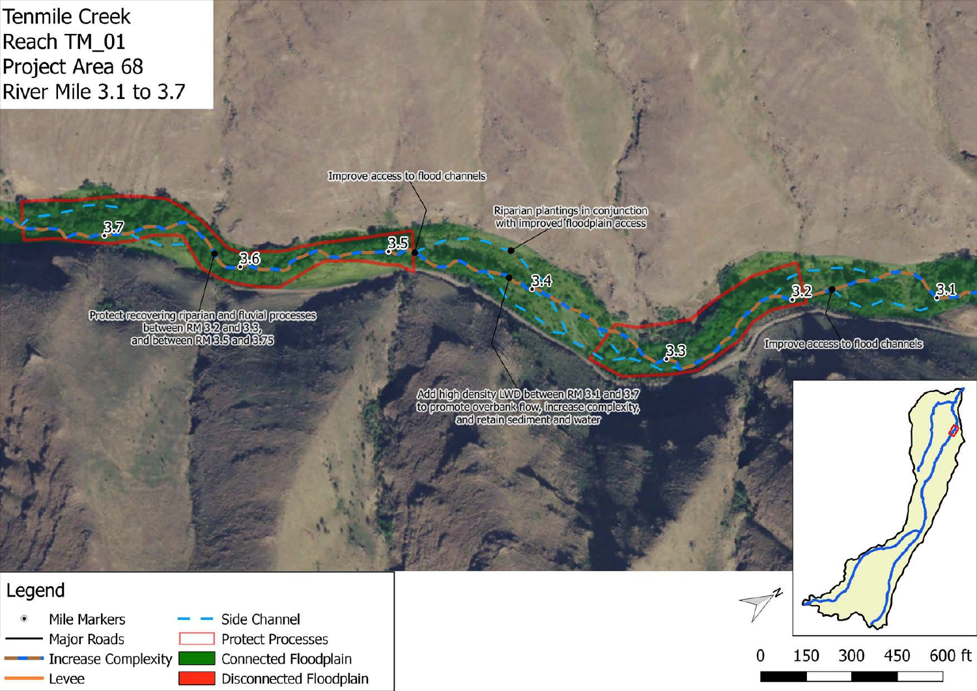Tenmile Creek Reach TM\_01 Project Area 68 River Mile 3.1 to 3.7



Mile Markers  $-$  Side Channel • Mile Markers — Side Channel<br>
— Major Roads — Protect Processes Major Roads<br>
Increase Complexity **Connected Floodplain**<br>
Levee **Connected Floodplain**<br>
Disconnected Floodpla Disconnected Floodplain

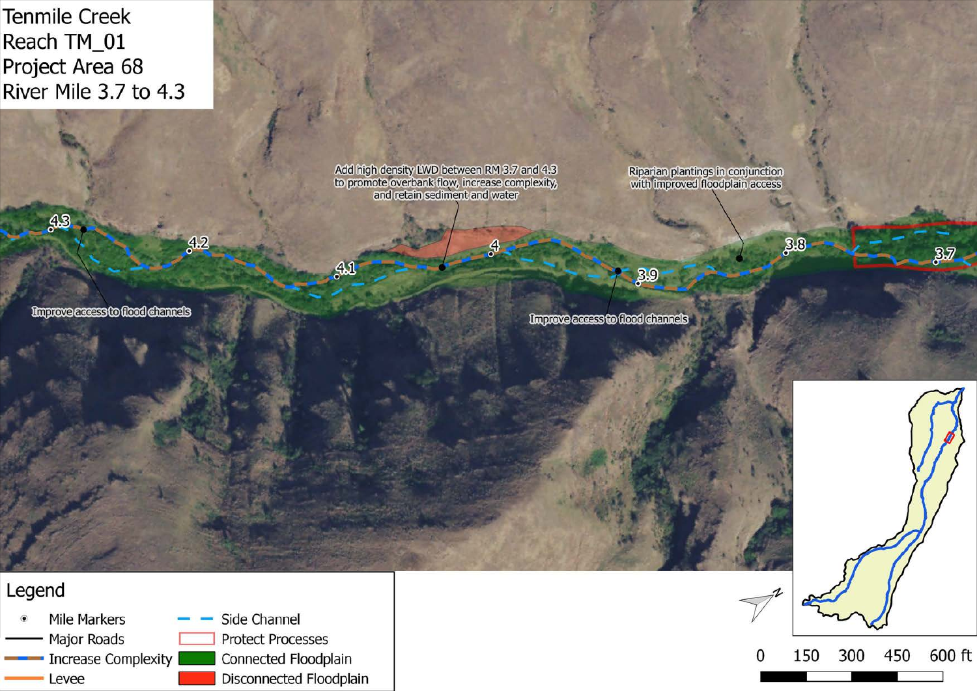Tenmile Creek Reach TM\_01 Project Area 68 River Mile 3.7 to 4.3

**Improve access to flood channels** 

 $33$ 

Add high density LWD between RM 3.7 and 4.3<br>to promote overbank flow, increase complexity,<br>and retain sediment and water

 $\mathcal{A}$ 

Riparian plantings in conjunction<br>with improved floodplain access

 $38$ 

 $\frac{3}{2}$ 

Improve access to flood channels

 $-39$ 

Legend Mile Markers  $-$  Side Channel • Mile Markers — Side Channel<br>
— Major Roads — Protect Processes --Increase Complexity - Connected Floodplain -- Levee - Disconnected Floodplain

 $42$ 

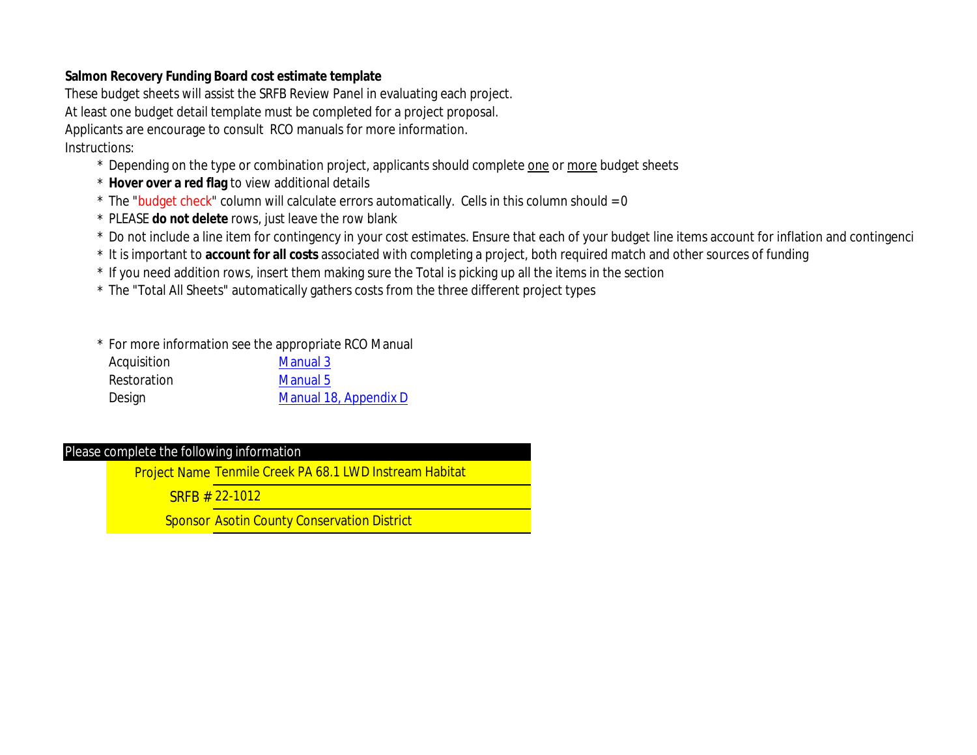### **Salmon Recovery Funding Board cost estimate template**

These budget sheets will assist the SRFB Review Panel in evaluating each project. At least one budget detail template must be completed for a project proposal. Applicants are encourage to consult RCO manuals for more information. Instructions:

- \* Depending on the type or combination project, applicants should complete one or more budget sheets
- \* **Hover over a red flag** to view additional details
- $*$  The "budget check" column will calculate errors automatically. Cells in this column should = 0
- \* PLEASE **do not delete** rows, just leave the row blank
- \* Do not include a line item for contingency in your cost estimates. Ensure that each of your budget line items account for inflation and contingenci
- \* It is important to **account for all costs** associated with completing a project, both required match and other sources of funding
- \* If you need addition rows, insert them making sure the Total is picking up all the items in the section
- \* The "Total All Sheets" automatically gathers costs from the three different project types

| * For more information see the appropriate RCO Manual |                       |  |  |  |  |  |
|-------------------------------------------------------|-----------------------|--|--|--|--|--|
| Acquisition                                           | Manual 3              |  |  |  |  |  |
| Restoration                                           | Manual 5              |  |  |  |  |  |
| Design                                                | Manual 18, Appendix D |  |  |  |  |  |

### Please complete the following information

Project Name Tenmile Creek PA 68.1 LWD Instream Habitat

SRFB # 22-1012

Sponsor Asotin County Conservation District